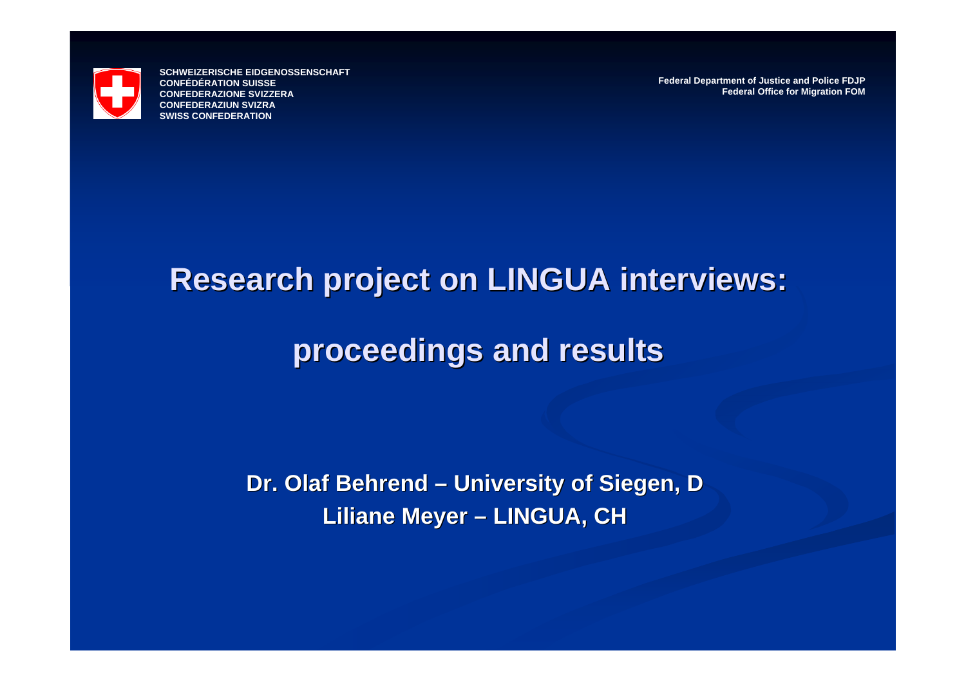

**Federal Department of Justice and Police FDJP Federal Office for Migration FOM**

# **Research project on LINGUA interviews: Research project on LINGUA interviews:**

#### **proceedings and results proceedings and results**

**Dr. Olaf Behrend Dr. Olaf Behrend – University of Siegen, D University of Siegen, D** Liliane Meyer – **LINGUA, CH LINGUA, CH**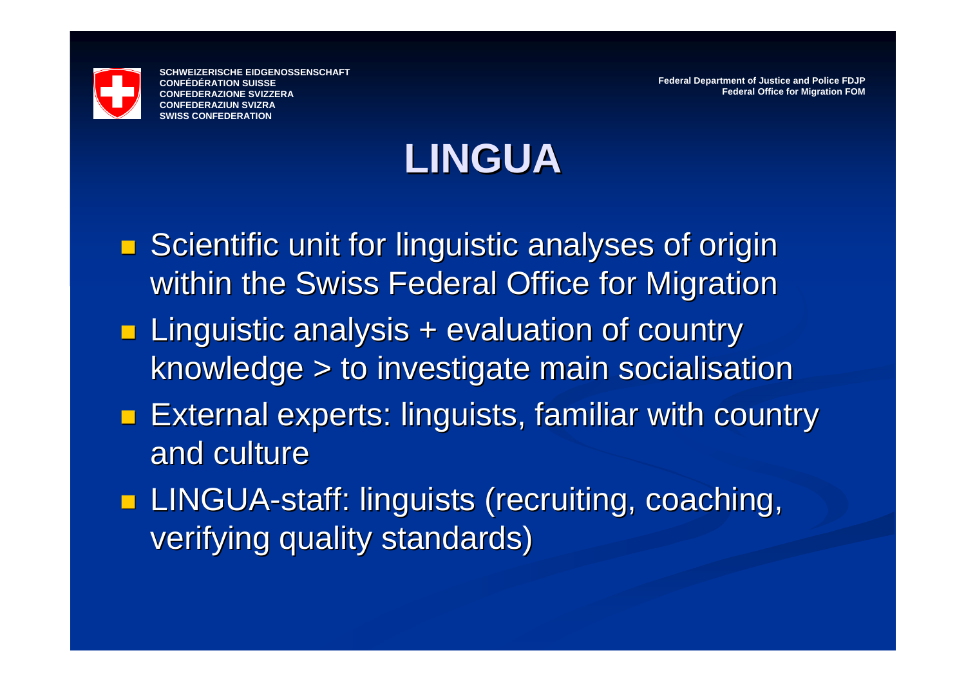

**Federal Department of Justice and Police FDJP Federal Office for Migration FOM**

#### **LINGUA**

- $\blacksquare$  Scientific unit for linguistic analyses of origin within the Swiss Federal Office for Migration
- **Linguistic analysis + evaluation of country** knowledge > to investigate main socialisation
- **External experts: linguists, familiar with country** and culture
- **LINGUA-staff: linguists (recruiting, coaching, staff: linguists (recruiting, coaching, requirement** verifying quality standards)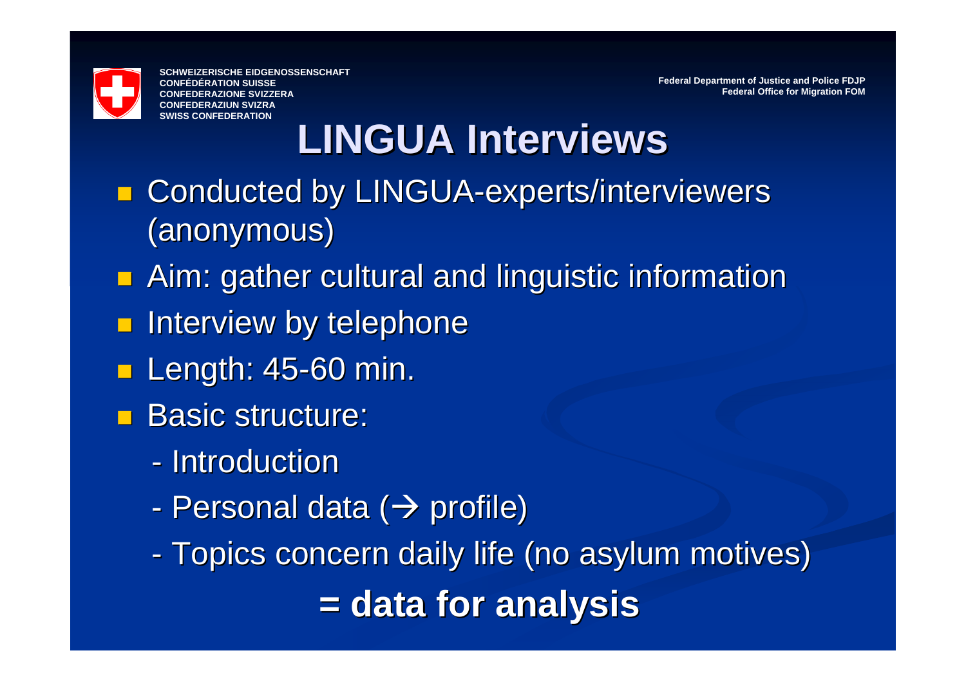

**Federal Department of Justice and Police FDJP Federal Office for Migration FOM**

### **LINGUA Interviews LINGUA Interviews**

- **E** Conducted by LINGUA-experts/interviewers (anonymous) (anonymous)
- **Aim: gather cultural and linguistic information**
- **n** Interview by telephone
- **Length: 45-60 min.**
- **Basic structure:** 
	- Introduction
	- Personal data ( $\bm{\rightarrow}$  profile)
	- -- Topics concern daily life (no asylum motives) **= data for analysis = data for analysis**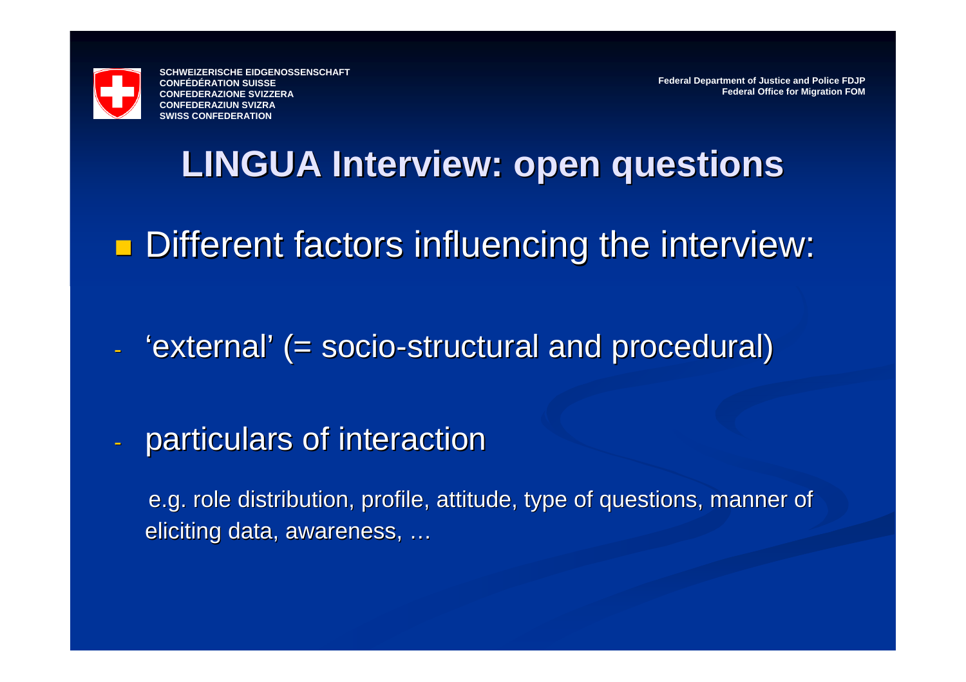

**Federal Department of Justice and Police FDJP Federal Office for Migration FOM**

#### **LINGUA Interview: open questions LINGUA Interview: open questions**

**Different factors influencing the interview:** 

- 'external' (= socio-structural and procedural)
- particulars of interaction particulars of interaction

e.g. role distribution, profile, attitude, type of questions, manner of eliciting data, awareness, …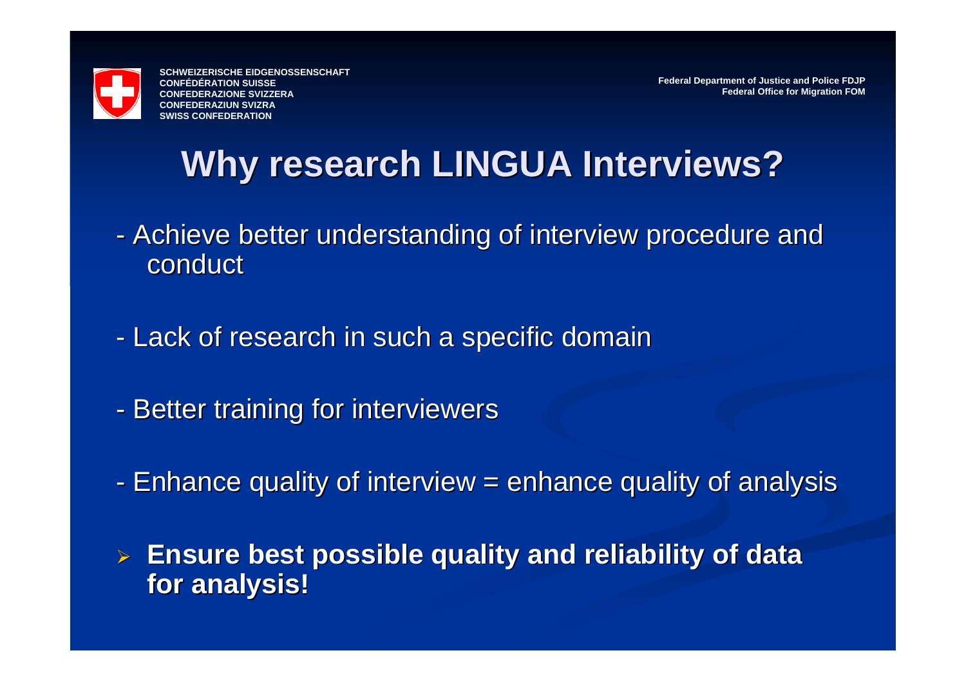

**Federal Department of Justice and Police FDJP Federal Office for Migration FOM**

#### **Why research LINGUA Interviews? Why research LINGUA Interviews?**

- -- Achieve better understanding of interview procedure and conduct
- -- Lack of research in such a specific domain
- -- Better training for interviewers
- -- Enhance quality of interview = enhance quality of analysis
- ¾ **Ensure best possible quality and reliability of data Ensure best possible quality and reliability of data for analysis! for analysis!**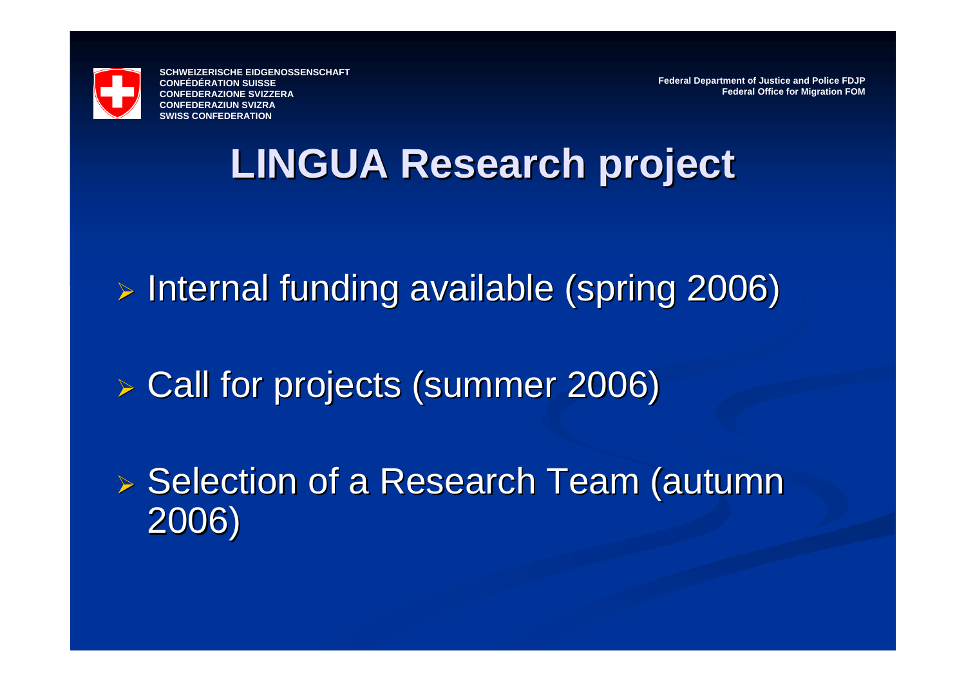

**Federal Department of Justice and Police FDJP Federal Office for Migration FOM**

#### **LINGUA Research project LINGUA Research project**

» Internal funding available (spring 2006)

¾ Call for projects (summer 2006) Call for projects (summer 2006)

▶ Selection of a Research Team (autumn 2006)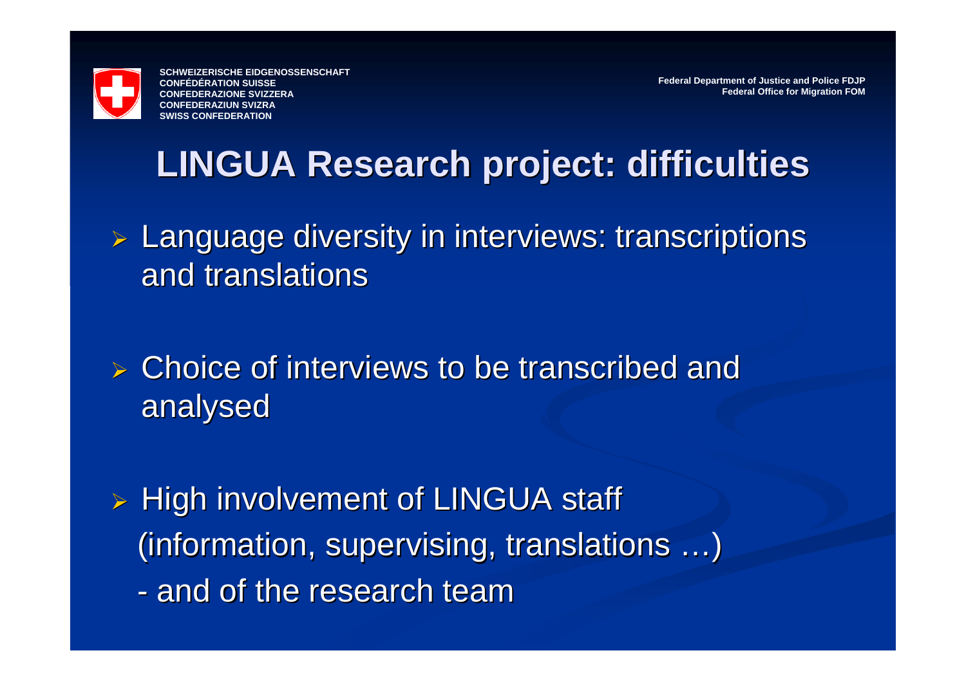

**Federal Department of Justice and Police FDJP Federal Office for Migration FOM**

#### **LINGUA Research project: difficulties LINGUA Research project: difficulties**

- $\triangleright$  Language diversity in interviews: transcriptions and translations
- $\triangleright$  Choice of interviews to be transcribed and analysed analysed
- ¾ High involvement of LINGUA staff High involvement of LINGUA staff (information, supervising, translations ...) - and of the research team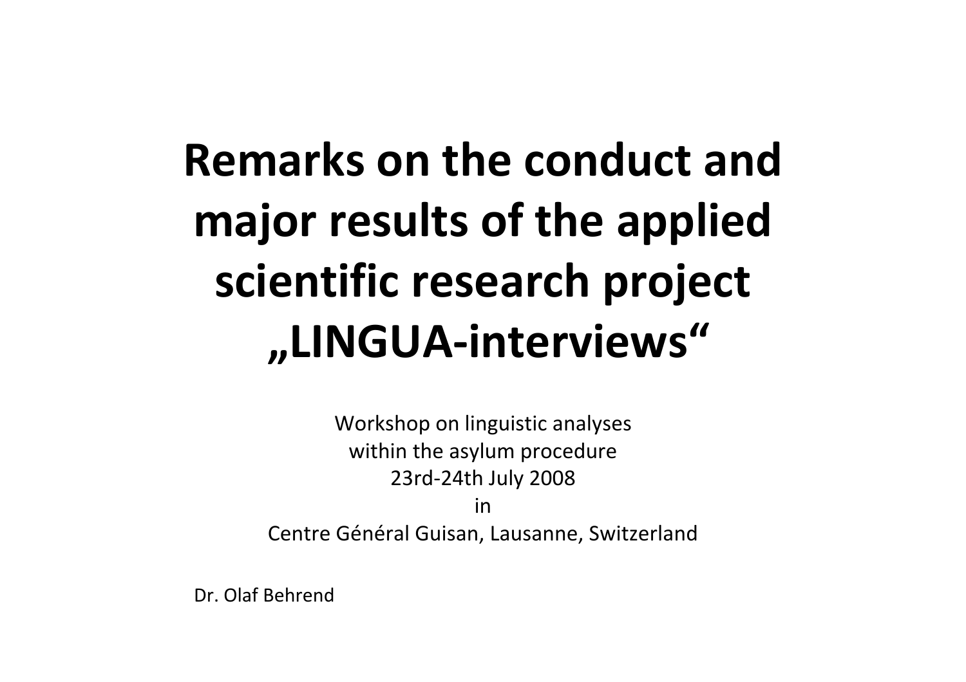## **Remarks on the conduct and major results of the applied scientific research project "LINGUA‐interviews"**

Workshop on linguistic analyses within the asylum procedure 23rd‐24th July 2008

in

Centre Général Guisan, Lausanne, Switzerland

Dr. Olaf Behrend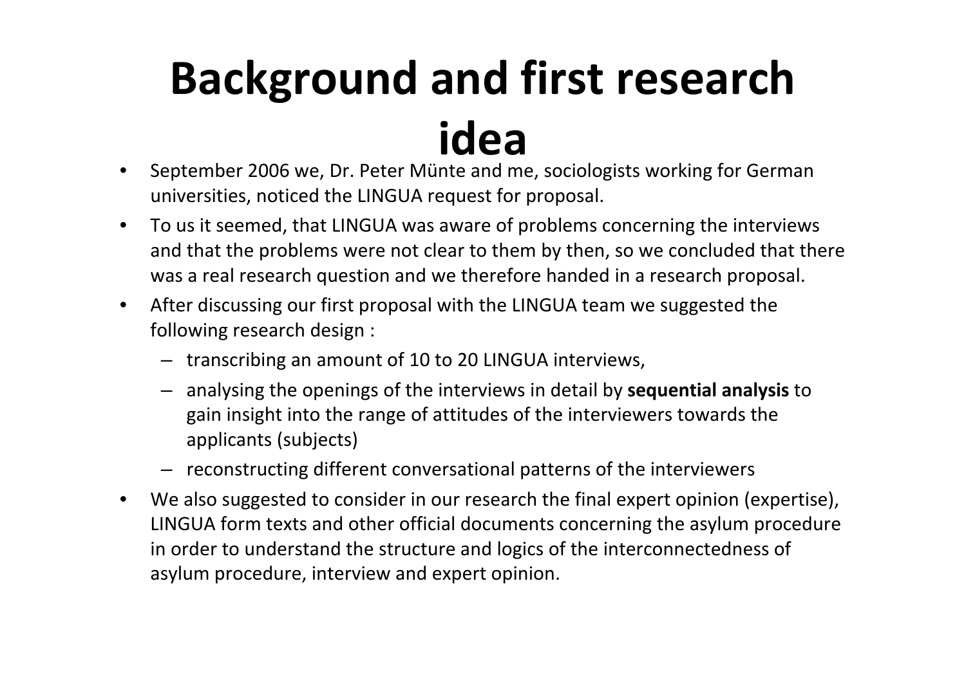## **Background and first research idea**

- $\bullet$  September 2006 we, Dr. Peter Münte and me, sociologists working for German universities, noticed the LINGUA request for proposal.
- $\bullet$  To us it seemed, that LINGUA was aware of problems concerning the interviews and that the problems were not clear to them by then, so we concluded that there was a real research question and we therefore handed in <sup>a</sup> research proposal.
- $\bullet$  After discussing our first proposal with the LINGUA team we suggested the following research design :
	- transcribing an amount of 10 to 20 LINGUA interviews,
	- analysing the openings of the interviews in detail by **sequential analysis** to gain insight into the range of attitudes of the interviewers towards the applicants (subjects)
	- reconstructing different conversational patterns of the interviewers
- $\bullet$  We also suggested to consider in our research the final expert opinion (expertise), LINGUA form texts and other official documents concerning the asylum procedure in order to understand the structure and logics of the interconnectedness of asylum procedure, interview and expert opinion.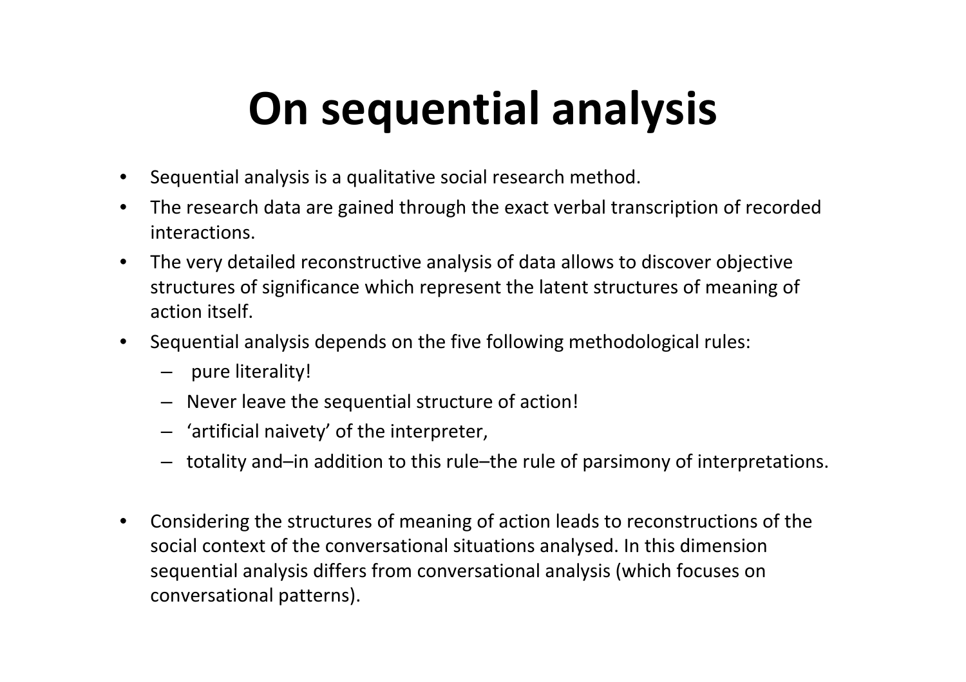## **On sequential analysis**

- $\bullet$ Sequential analysis is <sup>a</sup> qualitative social research method.
- $\bullet$  The research data are gained through the exact verbal transcription of recorded interactions.
- $\bullet$  The very detailed reconstructive analysis of data allows to discover objective structures of significance which represent the latent structures of meaning of action itself.
- Sequential analysis depends on the five following methodological rules:
	- pure literality!
	- Never leave the sequential structure of action!
	- 'artificial naivety' of the interpreter,
	- totality and–in addition to this rule–the rule of parsimony of interpretations.
- $\bullet$  Considering the structures of meaning of action leads to reconstructions of the social context of the conversational situations analysed. In this dimension sequential analysis differs from conversational analysis (which focuses on conversational patterns).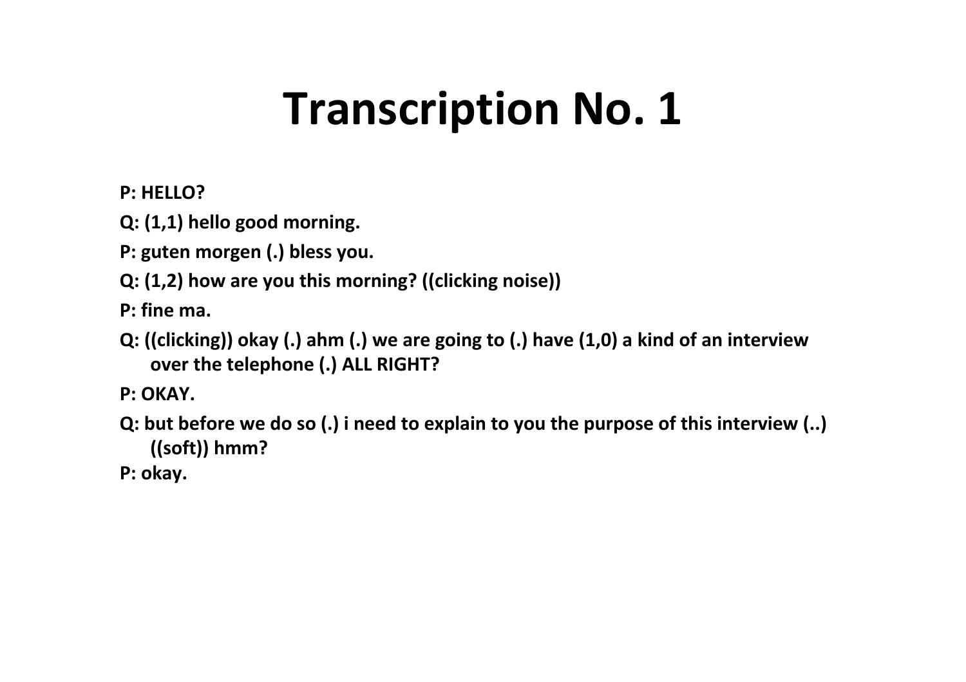## **Transcription No. 1**

#### **P: HELLO?**

**Q: (1,1) hello good morning.**

- **P: guten morgen (.) bless you.**
- **Q: (1,2) how are you this morning? ((clicking noise))**

**P: fine ma.**

- **Q: ((clicking)) okay (.) ahm (.) we are going to (.) have (1,0) <sup>a</sup> kind of an interview over the telephone (.) ALL RIGHT?**
- **P: OKAY.**
- **Q: but before we do so (.) i need to explain to you the purpose of this interview (..) ((soft)) hmm?**
- **P: okay.**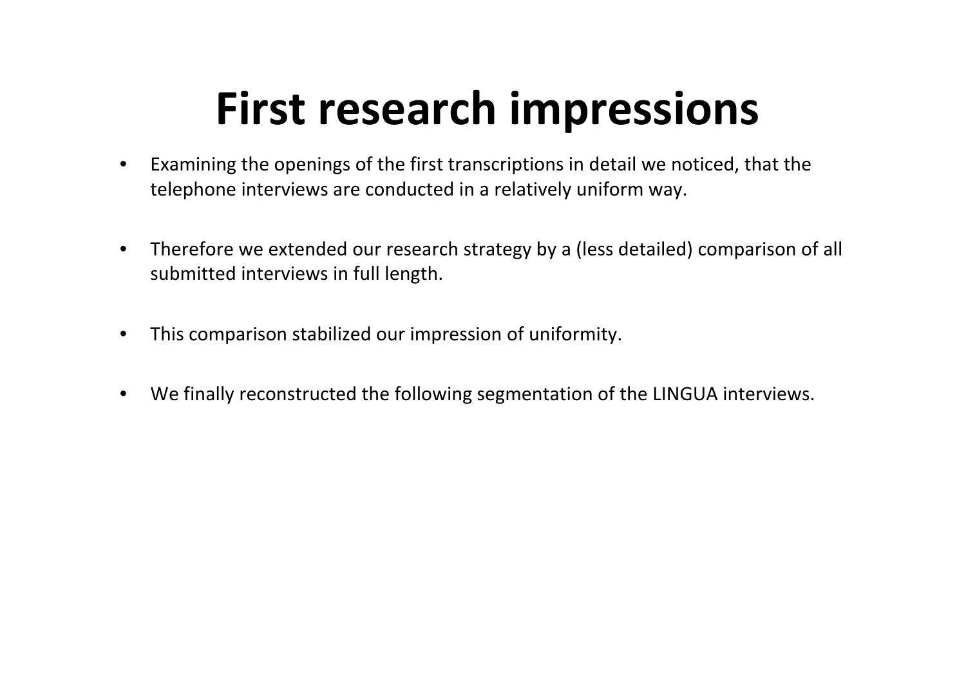## **First research impressions**

- $\bullet$  Examining the openings of the first transcriptions in detail we noticed, that the telephone interviews are conducted in <sup>a</sup> relatively uniform way.
- $\bullet$  Therefore we extended our research strategy by <sup>a</sup> (less detailed) comparison of all submitted interviews in full length.
- $\bullet$ This comparison stabilized our impression of uniformity.
- $\bullet$ We finally reconstructed the following segmentation of the LINGUA interviews.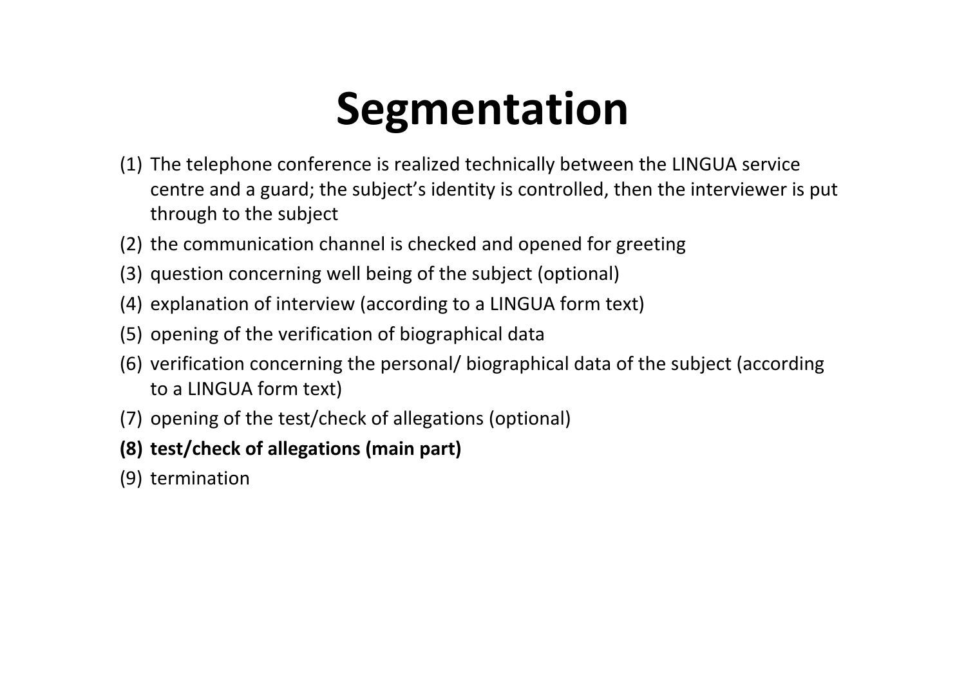## **Segmentation**

- (1) The telephone conference is realized technically between the LINGUA service centre and a guard; the subject's identity is controlled, then the interviewer is put through to the subject
- (2) the communication channel is checked and opened for greeting
- (3) question concerning well being of the subject (optional)
- (4) explanation of interview (according to a LINGUA form text)
- (5) opening of the verification of biographical data
- (6) verification concerning the personal/ biographical data of the subject (according to a LINGUA form text)
- (7) opening of the test/check of allegations (optional)
- **(8) test/check of allegations (main part)**
- (9) termination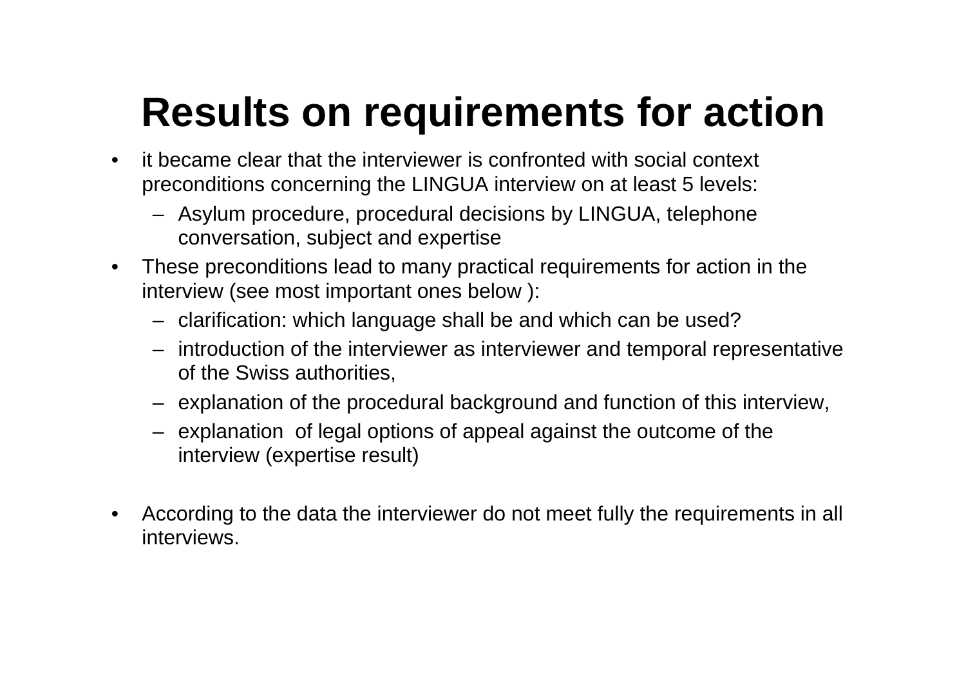### **Results on requirements for action**

- $\bullet$  it became clear that the interviewer is confronted with social context preconditions concerning the LINGUA interview on at least 5 levels:
	- Asylum procedure, procedural decisions by LINGUA, telephone conversation, subject and expertise
- • These preconditions lead to many practical requirements for action in the interview (see most important ones below ):
	- clarification: which language shall be and which can be used?
	- introduction of the interviewer as interviewer and temporal representative of the Swiss authorities,
	- explanation of the procedural background and function of this interview,
	- explanation of legal options of appeal against the outcome of the interview (expertise result)
- • According to the data the interviewer do not meet fully the requirements in all interviews.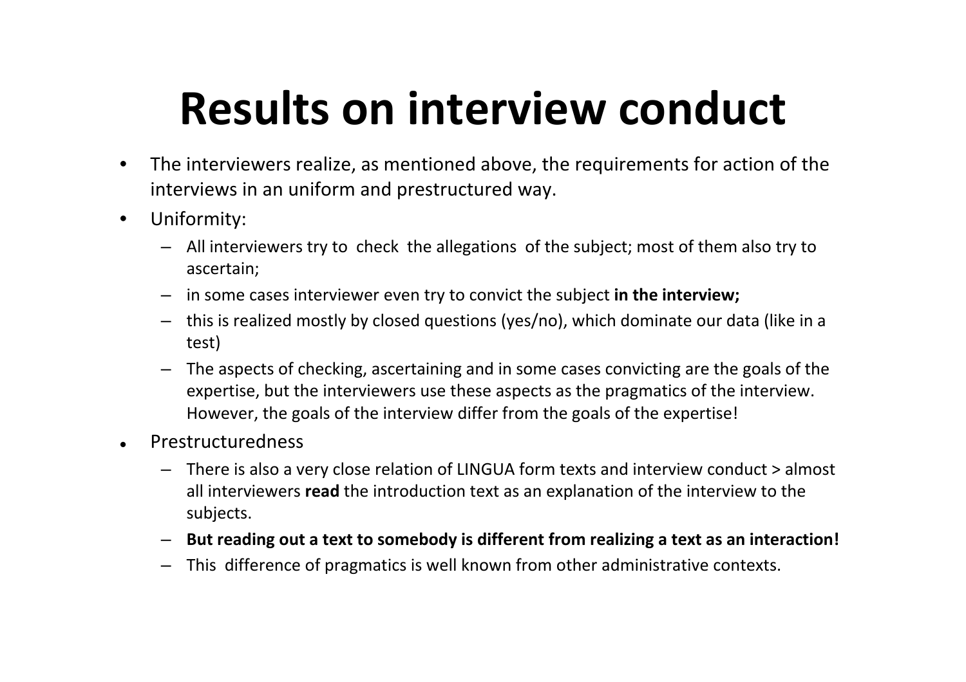## **Results on interview conduct**

- $\bullet$  The interviewers realize, as mentioned above, the requirements for action of the interviews in an uniform and prestructured way.
- $\bullet$  Uniformity:
	- All interviewers try to check the allegations of the subject; most of them also try to ascertain;
	- –in some cases interviewer even try to convict the subject **in the interview;**
	- this is realized mostly by closed questions (yes/no), which dominate our data (like in <sup>a</sup> test)
	- – The aspects of checking, ascertaining and in some cases convicting are the goals of the expertise, but the interviewers use these aspects as the pragmatics of the interview. However, the goals of the interview differ from the goals of the expertise!
- $\bullet$  Prestructuredness
	- There is also <sup>a</sup> very close relation of LINGUA form texts and interview conduct <sup>&</sup>gt; almost all interviewers **read** the introduction text as an explanation of the interview to the subjects.
	- **But reading out <sup>a</sup> text to somebody is different from realizing <sup>a</sup> text as an interaction!**
	- This difference of pragmatics is well known from other administrative contexts.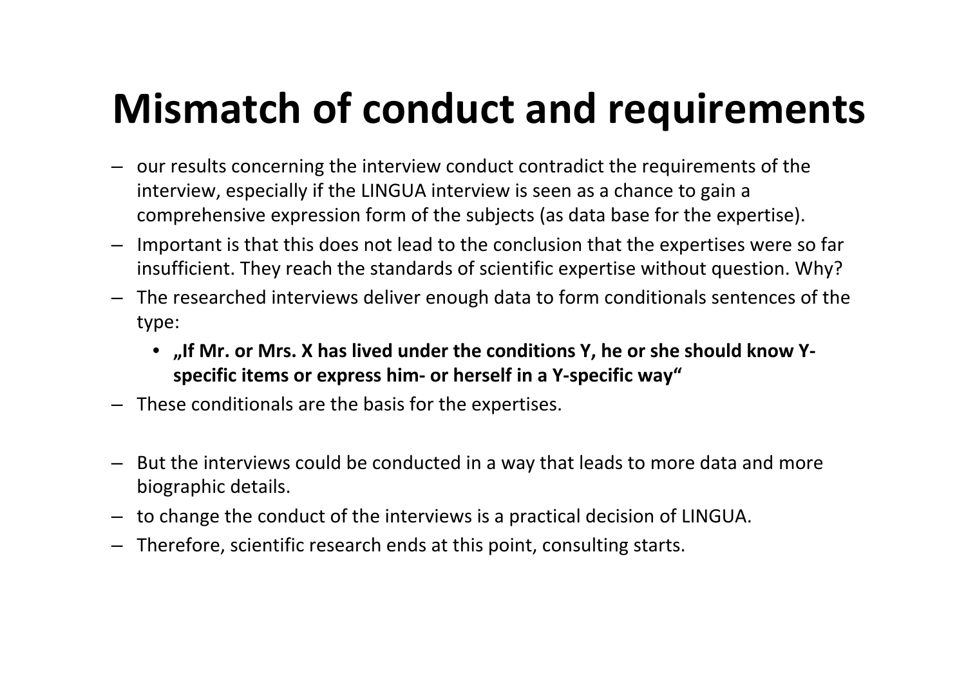### **Mismatch of conduct and requirements**

- our results concerning the interview conduct contradict the requirements of the interview, especially if the LINGUA interview is seen as <sup>a</sup> chance to gain <sup>a</sup> comprehensive expression form of the subjects (as data base for the expertise).
- Important is that this does not lead to the conclusion that the expertises were so far insufficient. They reach the standards of scientific expertise without question. Why?
- The researched interviews deliver enough data to form conditionals sentences of the type:
	- **"If Mr. or Mrs. X has lived under the conditions Y, he or she should know Y‐ specific items or express him‐ or herself in <sup>a</sup> Y‐specific way"**
- These conditionals are the basis for the expertises.
- But the interviews could be conducted in <sup>a</sup> way that leads to more data and more biographic details.
- –to change the conduct of the interviews is <sup>a</sup> practical decision of LINGUA.
- Therefore, scientific research ends at this point, consulting starts.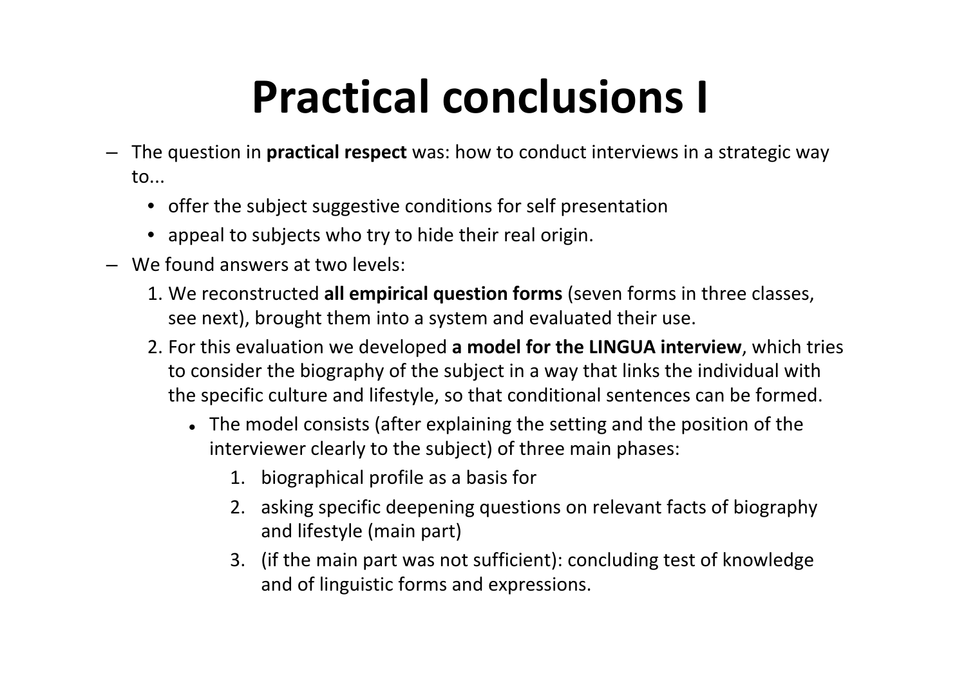## **Practical conclusions I**

- The question in **practical respect** was: how to conduct interviews in <sup>a</sup> strategic way to...
	- offer the subject suggestive conditions for self presentation
	- appeal to subjects who try to hide their real origin.
- We found answers at two levels:
	- 1. We reconstructed **all empirical question forms** (seven forms in three classes, see next), brought them into <sup>a</sup> system and evaluated their use.
	- 2. For this evaluation we developed **<sup>a</sup> model for the LINGUA interview**, which tries to consider the biography of the subject in <sup>a</sup> way that links the individual with the specific culture and lifestyle, so that conditional sentences can be formed.
		- The model consists (after explaining the setting and the position of the interviewer clearly to the subject) of three main phases:
			- 1. biographical profile as <sup>a</sup> basis for
			- 2. asking specific deepening questions on relevant facts of biography and lifestyle (main part)
			- 3. (if the main part was not sufficient): concluding test of knowledge and of linguistic forms and expressions.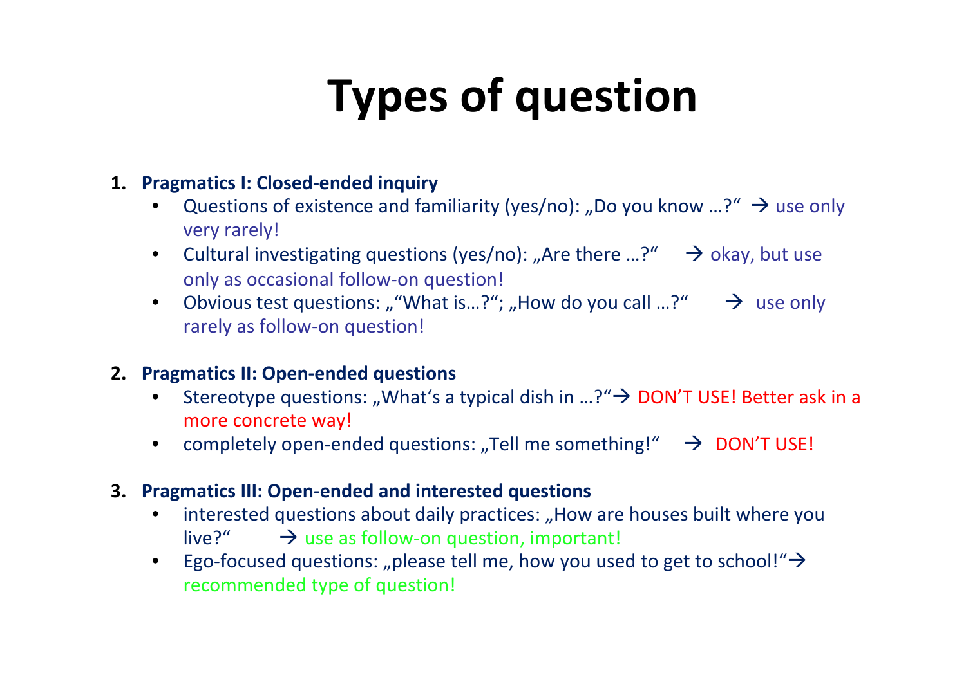## **Types of question**

#### **1. Pragmatics I: Closed‐ended inquiry**

- •Questions of existence and familiarity (yes/no): "Do you know ...?"  $\rightarrow$  use only very rarely!
- Cultural investigating questions (yes/no): "Are there  $...$ ?"  $\rightarrow$  okay, but use only as occasional follow‐on question!
- Obvious test questions: ""What is…?"; "How do you call …?"  $\rightarrow$  use only rarely as follow‐on question!

#### **2. Pragmatics II: Open‐ended questions**

- $\bullet$ Stereotype questions: "What's a typical dish in ...?" $\rightarrow$  DON'T USE! Better ask in a more concrete way!
- completely open-ended questions: "Tell me something!"  $\rightarrow$  DON'T USE!
- **3. Pragmatics III: Open‐ended and interested questions**
	- $\bullet$ • interested questions about daily practices: "How are houses built where you live?"  $\rightarrow$  $\rightarrow$  use as follow-on question, important!
	- $\bullet$ Ego-focused questions: "please tell me, how you used to get to school!" $\rightarrow$ recommended type of question!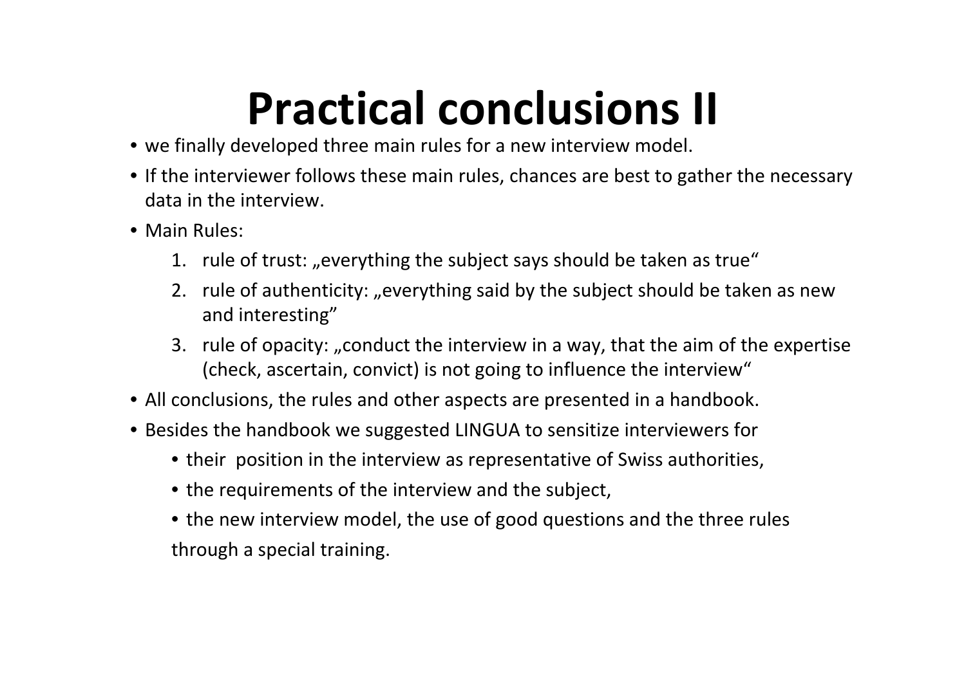## **Practical conclusions II**

- we finally developed three main rules for <sup>a</sup> new interview model.
- If the interviewer follows these main rules, chances are best to gather the necessary data in the interview.
- Main Rules:
	- 1.  $\,$  rule of trust: "everything the subject says should be taken as true"  $\,$
	- 2. rule of authenticity: "everything said by the subject should be taken as new and interesting"
	- 3. rule of opacity: "conduct the interview in a way, that the aim of the expertise (check, ascertain, convict) is not going to influence the interview"
- All conclusions, the rules and other aspects are presented in <sup>a</sup> handbook.
- Besides the handbook we suggested LINGUA to sensitize interviewers for
	- their position in the interview as representative of Swiss authorities,
	- the requirements of the interview and the subject,
	- the new interview model, the use of good questions and the three rules through <sup>a</sup> special training.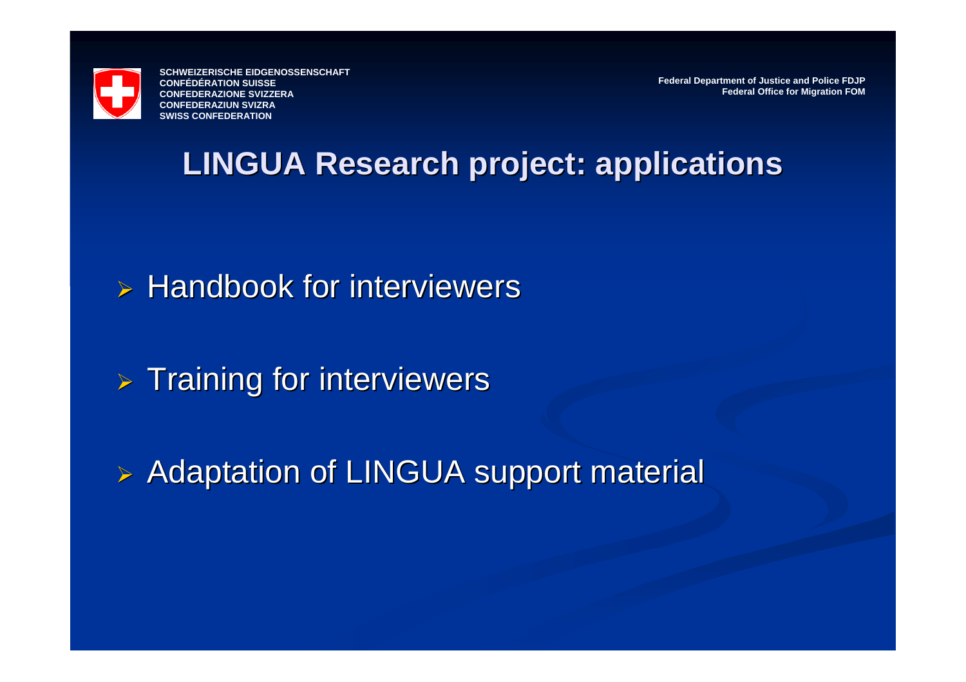

**Federal Department of Justice and Police FDJP Federal Office for Migration FOM**

#### **LINGUA Research project: applications LINGUA Research project: applications**

 $\triangleright$  Handbook for interviewers

 $>$  Training for interviewers

**Example 23 Adaptation of LINGUA support material**